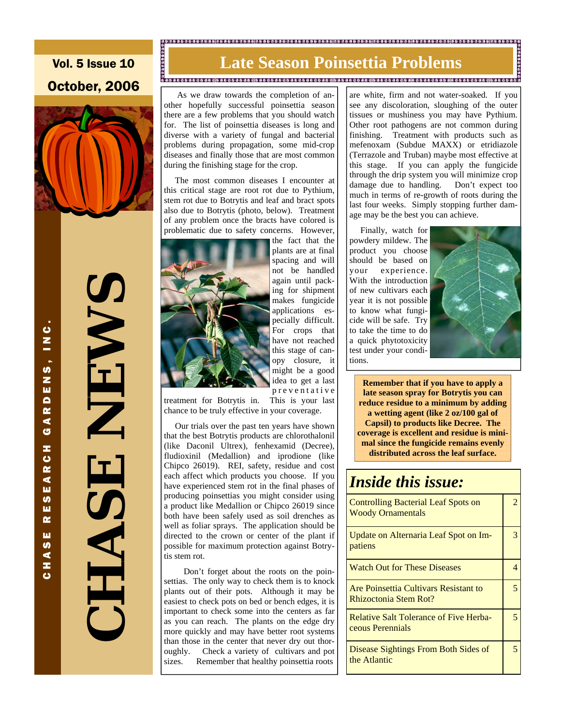# Vol. 5 Issue 10 October, 2006



**CHASE NEWS**  NEWS<br>NEW HAS

CHASE RESEARCH GARDENS, INC.

**S** ш  $\overline{\mathbf{r}}$ ш  $\frac{9}{4}$ z  $\mathbf c$ 

∢ G z O<br>R  $\blacktriangleleft$ ш

RDENS, INC

# **Late Season Poinsettia Problemante and Constitution**

 As we draw towards the completion of another hopefully successful poinsettia season there are a few problems that you should watch for. The list of poinsettia diseases is long and diverse with a variety of fungal and bacterial problems during propagation, some mid-crop diseases and finally those that are most common during the finishing stage for the crop.

 The most common diseases I encounter at this critical stage are root rot due to Pythium, stem rot due to Botrytis and leaf and bract spots also due to Botrytis (photo, below). Treatment of any problem once the bracts have colored is problematic due to safety concerns. However,



the fact that the plants are at final spacing and will not be handled again until packing for shipment makes fungicide applications especially difficult. For crops that have not reached this stage of canopy closure, it might be a good idea to get a last p r e v e n t a t i v e

treatment for Botrytis in. This is your last chance to be truly effective in your coverage.

 Our trials over the past ten years have shown that the best Botrytis products are chlorothalonil (like Daconil Ultrex), fenhexamid (Decree), fludioxinil (Medallion) and iprodione (like Chipco 26019). REI, safety, residue and cost each affect which products you choose. If you have experienced stem rot in the final phases of producing poinsettias you might consider using a product like Medallion or Chipco 26019 since both have been safely used as soil drenches as well as foliar sprays. The application should be directed to the crown or center of the plant if possible for maximum protection against Botrytis stem rot.

 Don't forget about the roots on the poinsettias. The only way to check them is to knock plants out of their pots. Although it may be easiest to check pots on bed or bench edges, it is important to check some into the centers as far as you can reach. The plants on the edge dry more quickly and may have better root systems than those in the center that never dry out thoroughly. Check a variety of cultivars and pot sizes. Remember that healthy poinsettia roots

are white, firm and not water-soaked. If you see any discoloration, sloughing of the outer tissues or mushiness you may have Pythium. Other root pathogens are not common during finishing. Treatment with products such as mefenoxam (Subdue MAXX) or etridiazole (Terrazole and Truban) maybe most effective at this stage. If you can apply the fungicide through the drip system you will minimize crop damage due to handling. Don't expect too much in terms of re-growth of roots during the last four weeks. Simply stopping further damage may be the best you can achieve.

 Finally, watch for powdery mildew. The product you choose should be based on your experience. With the introduction of new cultivars each year it is not possible to know what fungicide will be safe. Try to take the time to do a quick phytotoxicity test under your conditions.



**Remember that if you have to apply a late season spray for Botrytis you can reduce residue to a minimum by adding a wetting agent (like 2 oz/100 gal of Capsil) to products like Decree. The coverage is excellent and residue is minimal since the fungicide remains evenly distributed across the leaf surface.** 

## *Inside this issue:*

| Controlling Bacterial Leaf Spots on<br><b>Woody Ornamentals</b>   | 7 |
|-------------------------------------------------------------------|---|
| Update on Alternaria Leaf Spot on Im-<br>patiens                  | 3 |
| <b>Watch Out for These Diseases</b>                               |   |
| Are Poinsettia Cultivars Resistant to<br>Rhizoctonia Stem Rot?    |   |
| <b>Relative Salt Tolerance of Five Herba-</b><br>ceous Perennials | 5 |
| Disease Sightings From Both Sides of<br>the Atlantic              | 5 |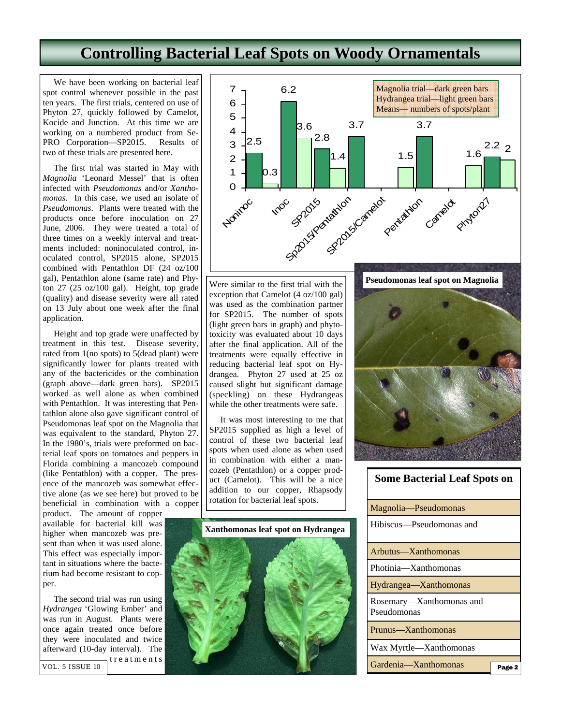# **Controlling Bacterial Leaf Spots on Woody Ornamentals**

 We have been working on bacterial leaf spot control whenever possible in the past ten years. The first trials, centered on use of Phyton 27, quickly followed by Camelot, Kocide and Junction. At this time we are working on a numbered product from Se-PRO Corporation—SP2015. Results of two of these trials are presented here.

 The first trial was started in May with *Magnolia* 'Leonard Messel' that is often infected with *Pseudomonas* and/or *Xanthomonas*. In this case, we used an isolate of *Pseudomonas*. Plants were treated with the products once before inoculation on 27 June, 2006. They were treated a total of three times on a weekly interval and treatments included: noninoculated control, inoculated control, SP2015 alone, SP2015 combined with Pentathlon DF (24 oz/100 gal), Pentathlon alone (same rate) and Phyton 27 (25 oz/100 gal). Height, top grade (quality) and disease severity were all rated on 13 July about one week after the final application.

 Height and top grade were unaffected by treatment in this test. Disease severity, rated from 1(no spots) to 5(dead plant) were significantly lower for plants treated with any of the bactericides or the combination (graph above—dark green bars). SP2015 worked as well alone as when combined with Pentathlon. It was interesting that Pentathlon alone also gave significant control of Pseudomonas leaf spot on the Magnolia that was equivalent to the standard, Phyton 27. In the 1980's, trials were preformed on bacterial leaf spots on tomatoes and peppers in Florida combining a mancozeb compound (like Pentathlon) with a copper. The presence of the mancozeb was somewhat effective alone (as we see here) but proved to be beneficial in combination with a copper

product. The amount of copper available for bacterial kill was higher when mancozeb was present than when it was used alone. This effect was especially important in situations where the bacterium had become resistant to copper.

 The second trial was run using *Hydrangea* 'Glowing Ember' and was run in August. Plants were once again treated once before they were inoculated and twice afterward (10-day interval). The tre a t m e n t s VOL. 5 ISSUE 10



Were similar to the first trial with the exception that Camelot (4 oz/100 gal) was used as the combination partner for SP2015. The number of spots (light green bars in graph) and phytotoxicity was evaluated about 10 days after the final application. All of the treatments were equally effective in reducing bacterial leaf spot on Hydrangea. Phyton 27 used at 25 oz caused slight but significant damage (speckling) on these Hydrangeas while the other treatments were safe.

 It was most interesting to me that SP2015 supplied as high a level of control of these two bacterial leaf spots when used alone as when used in combination with either a mancozeb (Pentathlon) or a copper product (Camelot). This will be a nice addition to our copper, Rhapsody rotation for bacterial leaf spots.



# **Pseudomonas leaf spot on Magnolia**

| <b>Some Bacterial Leaf Spots on</b>     |        |
|-----------------------------------------|--------|
| Magnolia—Pseudomonas                    |        |
| Hibiscus-Pseudomonas and                |        |
| Arbutus—Xanthomonas                     |        |
| Photinia—Xanthomonas                    |        |
| Hydrangea—Xanthomonas                   |        |
| Rosemary—Xanthomonas and<br>Pseudomonas |        |
| Prunus—Xanthomonas                      |        |
| Wax Myrtle—Xanthomonas                  |        |
| Gardenia-Xanthomonas                    | Page 2 |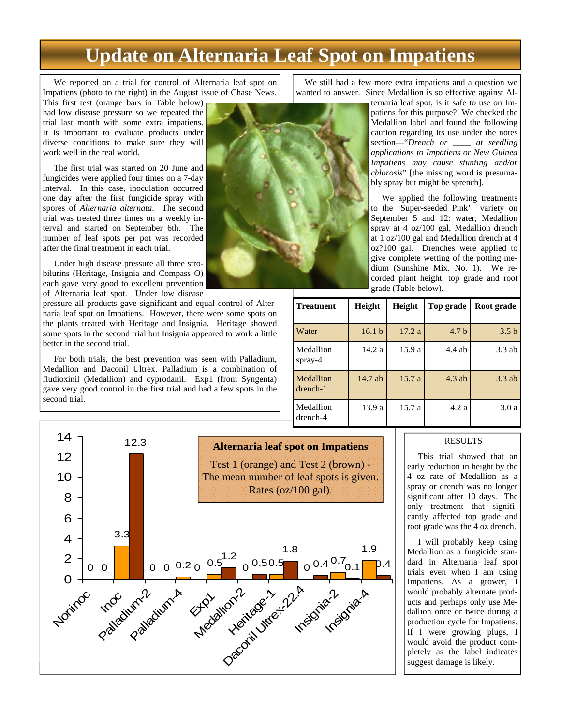# **Update on Alternaria Leaf Spot on Impatiens**

 We reported on a trial for control of Alternaria leaf spot on Impatiens (photo to the right) in the August issue of Chase News.

This first test (orange bars in Table below) had low disease pressure so we repeated the trial last month with some extra impatiens. It is important to evaluate products under diverse conditions to make sure they will work well in the real world.

 The first trial was started on 20 June and fungicides were applied four times on a 7-day interval. In this case, inoculation occurred one day after the first fungicide spray with spores of *Alternaria alternata*. The second trial was treated three times on a weekly interval and started on September 6th. The number of leaf spots per pot was recorded after the final treatment in each trial.

 Under high disease pressure all three strobilurins (Heritage, Insignia and Compass O) each gave very good to excellent prevention of Alternaria leaf spot. Under low disease

pressure all products gave significant and equal control of Alternaria leaf spot on Impatiens. However, there were some spots on the plants treated with Heritage and Insignia. Heritage showed some spots in the second trial but Insignia appeared to work a little better in the second trial.

 For both trials, the best prevention was seen with Palladium, Medallion and Daconil Ultrex. Palladium is a combination of fludioxinil (Medallion) and cyprodanil. Exp1 (from Syngenta) gave very good control in the first trial and had a few spots in the second trial.



 We still had a few more extra impatiens and a question we wanted to answer. Since Medallion is so effective against Al-

ternaria leaf spot, is it safe to use on Impatiens for this purpose? We checked the Medallion label and found the following caution regarding its use under the notes section—"*Drench or \_\_\_\_ at seedling applications to Impatiens or New Guinea Impatiens may cause stunting and/or chlorosis*" [the missing word is presumably spray but might be sprench].

 We applied the following treatments to the 'Super-seeded Pink' variety on September 5 and 12: water, Medallion spray at 4 oz/100 gal, Medallion drench at 1 oz/100 gal and Medallion drench at 4 oz?100 gal. Drenches were applied to give complete wetting of the potting medium (Sunshine Mix. No. 1). We recorded plant height, top grade and root grade (Table below).

| <b>Treatment</b>            | Height            | <b>Height</b> | Top grade        | Root grade       |
|-----------------------------|-------------------|---------------|------------------|------------------|
| Water                       | 16.1 <sub>b</sub> | 17.2a         | 4.7 <sub>b</sub> | 3.5 <sub>b</sub> |
| Medallion<br>spray- $4$     | 14.2a             | 15.9a         | $4.4$ ab         | $3.3$ ab         |
| Medallion<br>$d$ rench- $1$ | $14.7$ ab         | 15.7a         | $4.3$ ab         | $3.3$ ab         |
| Medallion<br>$d$ rench-4    | 13.9 a            | 15.7a         | 4.2a             | 3.0 a            |



#### RESULTS

 This trial showed that an early reduction in height by the 4 oz rate of Medallion as a spray or drench was no longer significant after 10 days. The only treatment that significantly affected top grade and root grade was the 4 oz drench.

 I will probably keep using Medallion as a fungicide standard in Alternaria leaf spot trials even when I am using Impatiens. As a grower, I would probably alternate products and perhaps only use Medallion once or twice during a production cycle for Impatiens. If I were growing plugs, I would avoid the product completely as the label indicates suggest damage is likely.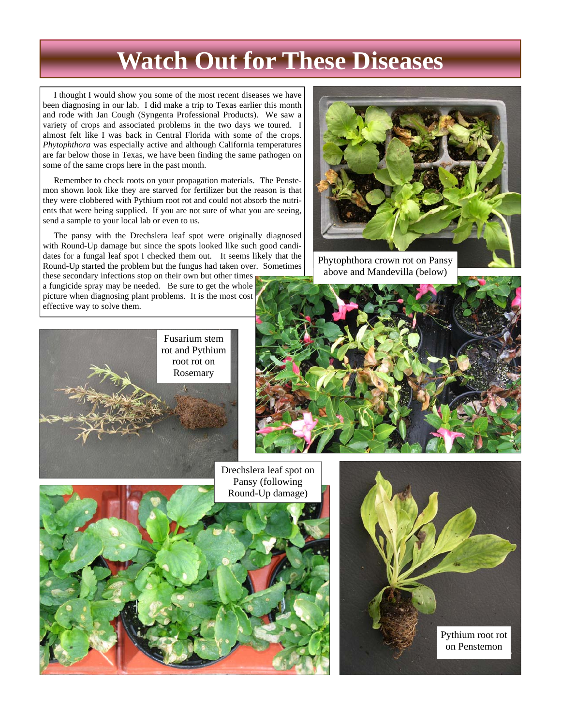# **Watch Out for These Diseases**

 I thought I would show you some of the most recent diseases we have been diagnosing in our lab. I did make a trip to Texas earlier this month and rode with Jan Cough (Syngenta Professional Products). We saw a variety of crops and associated problems in the two days we toured. I almost felt like I was back in Central Florida with some of the crops. *Phytophthora* was especially active and although California temperatures are far below those in Texas, we have been finding the same pathogen on some of the same crops here in the past month.

 Remember to check roots on your propagation materials. The Penstemon shown look like they are starved for fertilizer but the reason is that they were clobbered with Pythium root rot and could not absorb the nutrients that were being supplied. If you are not sure of what you are seeing, send a sample to your local lab or even to us.

 The pansy with the Drechslera leaf spot were originally diagnosed with Round-Up damage but since the spots looked like such good candidates for a fungal leaf spot I checked them out. It seems likely that the Round-Up started the problem but the fungus had taken over. Sometimes

these secondary infections stop on their own but other times a fungicide spray may be needed. Be sure to get the whole picture when diagnosing plant problems. It is the most cost effective way to solve them.